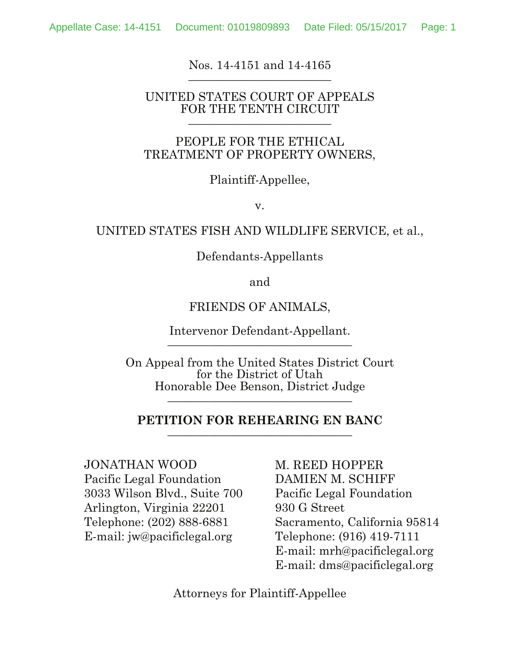#### Nos. 14-4151 and 14-4165 **\_\_\_\_\_\_\_\_\_\_\_\_\_\_\_\_\_\_\_\_\_\_\_\_**

#### UNITED STATES COURT OF APPEALS FOR THE TENTH CIRCUIT **\_\_\_\_\_\_\_\_\_\_\_\_\_\_\_\_\_\_\_\_\_\_\_\_**

### PEOPLE FOR THE ETHICAL TREATMENT OF PROPERTY OWNERS,

### Plaintiff-Appellee,

v.

### UNITED STATES FISH AND WILDLIFE SERVICE, et al.,

Defendants-Appellants

and

### FRIENDS OF ANIMALS,

Intervenor Defendant-Appellant. **\_\_\_\_\_\_\_\_\_\_\_\_\_\_\_\_\_\_\_\_\_\_\_\_\_\_\_\_\_\_\_** 

On Appeal from the United States District Court for the District of Utah Honorable Dee Benson, District Judge **\_\_\_\_\_\_\_\_\_\_\_\_\_\_\_\_\_\_\_\_\_\_\_\_\_\_\_\_\_\_\_** 

#### **PETITION FOR REHEARING EN BANC \_\_\_\_\_\_\_\_\_\_\_\_\_\_\_\_\_\_\_\_\_\_\_\_\_\_\_\_\_\_\_**

JONATHAN WOOD Pacific Legal Foundation 3033 Wilson Blvd., Suite 700 Arlington, Virginia 22201 Telephone: (202) 888-6881 E-mail: jw@pacificlegal.org

M. REED HOPPER DAMIEN M. SCHIFF Pacific Legal Foundation 930 G Street Sacramento, California 95814 Telephone: (916) 419-7111 E-mail: mrh@pacificlegal.org E-mail: dms@pacificlegal.org

Attorneys for Plaintiff-Appellee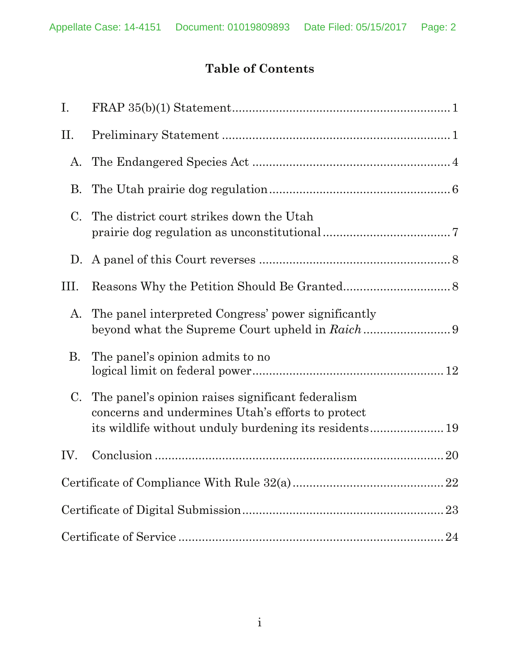# **Table of Contents**

| Ι.          |                                                                                                        |
|-------------|--------------------------------------------------------------------------------------------------------|
| Π.          |                                                                                                        |
| A.          |                                                                                                        |
| <b>B.</b>   |                                                                                                        |
| $C_{\cdot}$ | The district court strikes down the Utah                                                               |
|             |                                                                                                        |
| III.        |                                                                                                        |
| A.          | The panel interpreted Congress' power significantly                                                    |
| <b>B.</b>   | The panel's opinion admits to no                                                                       |
| C.          | The panel's opinion raises significant federalism<br>concerns and undermines Utah's efforts to protect |
| IV.         |                                                                                                        |
|             |                                                                                                        |
|             |                                                                                                        |
|             |                                                                                                        |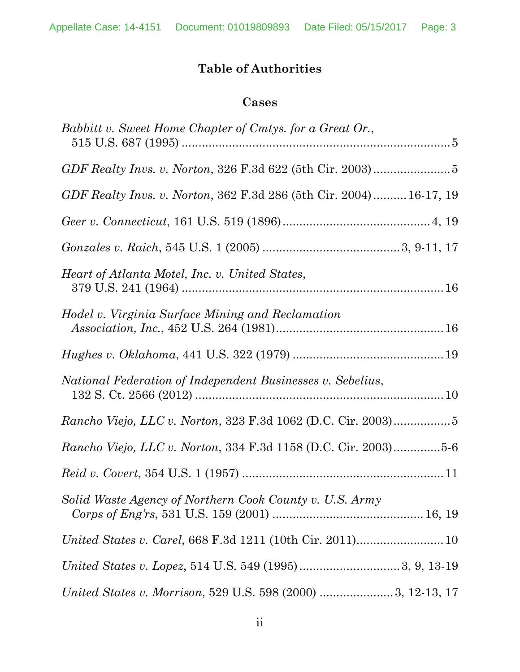# **Table of Authorities**

# **Cases**

| Babbitt v. Sweet Home Chapter of Cmtys. for a Great Or.,           |
|--------------------------------------------------------------------|
|                                                                    |
| GDF Realty Invs. v. Norton, 362 F.3d 286 (5th Cir. 2004) 16-17, 19 |
|                                                                    |
|                                                                    |
| Heart of Atlanta Motel, Inc. v. United States,                     |
| Hodel v. Virginia Surface Mining and Reclamation                   |
|                                                                    |
| National Federation of Independent Businesses v. Sebelius,         |
|                                                                    |
| Rancho Viejo, LLC v. Norton, 334 F.3d 1158 (D.C. Cir. 2003)5-6     |
|                                                                    |
| Solid Waste Agency of Northern Cook County v. U.S. Army            |
|                                                                    |
|                                                                    |
|                                                                    |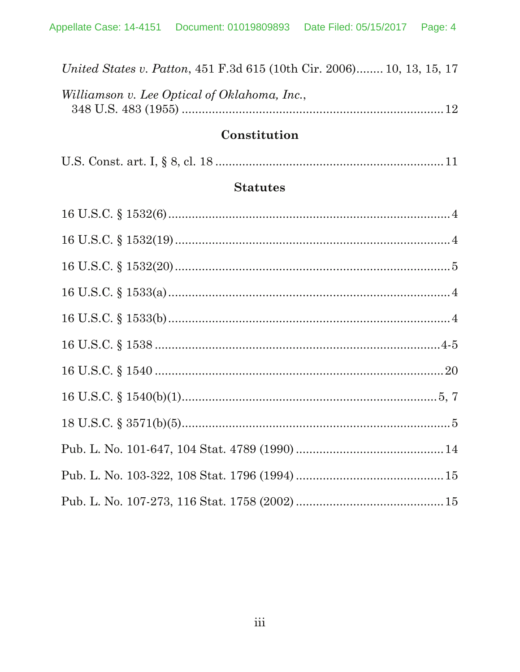| <i>United States v. Patton,</i> 451 F.3d 615 (10th Cir. 2006) 10, 13, 15, 17 |  |
|------------------------------------------------------------------------------|--|
| Williamson v. Lee Optical of Oklahoma, Inc.,                                 |  |
|                                                                              |  |
|                                                                              |  |

# Constitution

|--|--|--|--|--|--|--|--|--|

## **Statutes**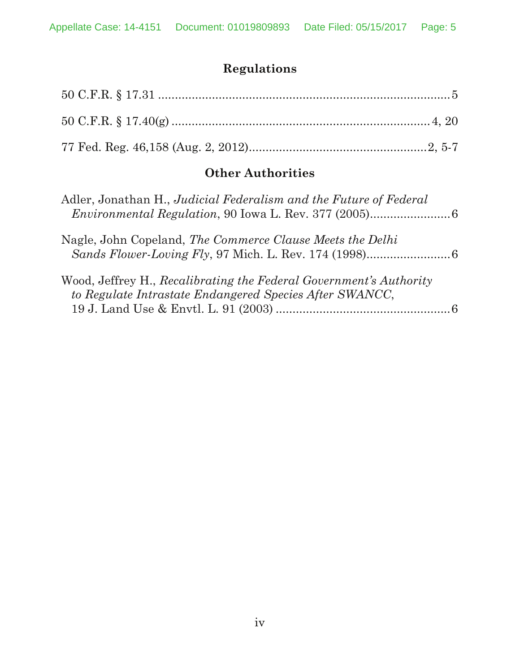# **Regulations**

# **Other Authorities**

| Adler, Jonathan H., Judicial Federalism and the Future of Federal                                                             |  |
|-------------------------------------------------------------------------------------------------------------------------------|--|
| Nagle, John Copeland, The Commerce Clause Meets the Delhi                                                                     |  |
| Wood, Jeffrey H., Recalibrating the Federal Government's Authority<br>to Regulate Intrastate Endangered Species After SWANCC, |  |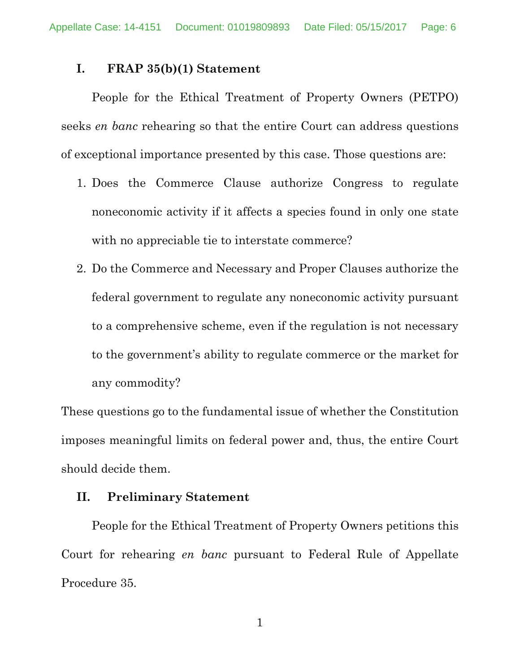### **I. FRAP 35(b)(1) Statement**

 People for the Ethical Treatment of Property Owners (PETPO) seeks *en banc* rehearing so that the entire Court can address questions of exceptional importance presented by this case. Those questions are:

- 1. Does the Commerce Clause authorize Congress to regulate noneconomic activity if it affects a species found in only one state with no appreciable tie to interstate commerce?
- 2. Do the Commerce and Necessary and Proper Clauses authorize the federal government to regulate any noneconomic activity pursuant to a comprehensive scheme, even if the regulation is not necessary to the government's ability to regulate commerce or the market for any commodity?

These questions go to the fundamental issue of whether the Constitution imposes meaningful limits on federal power and, thus, the entire Court should decide them.

### **II. Preliminary Statement**

People for the Ethical Treatment of Property Owners petitions this Court for rehearing *en banc* pursuant to Federal Rule of Appellate Procedure 35.

1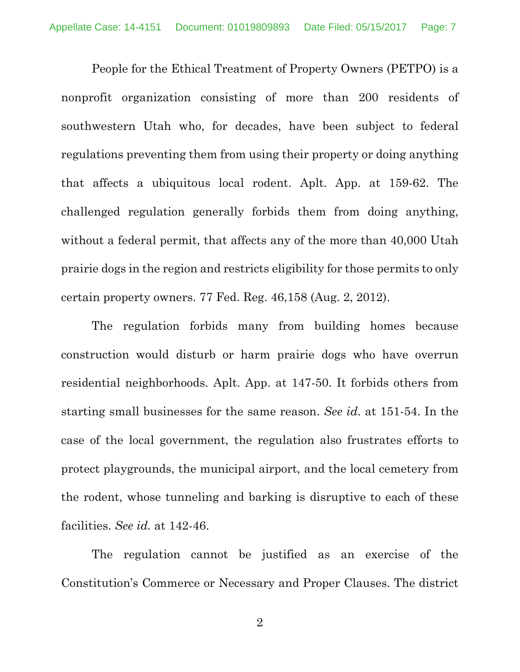People for the Ethical Treatment of Property Owners (PETPO) is a nonprofit organization consisting of more than 200 residents of southwestern Utah who, for decades, have been subject to federal regulations preventing them from using their property or doing anything that affects a ubiquitous local rodent. Aplt. App. at 159-62. The challenged regulation generally forbids them from doing anything, without a federal permit, that affects any of the more than 40,000 Utah prairie dogs in the region and restricts eligibility for those permits to only certain property owners. 77 Fed. Reg. 46,158 (Aug. 2, 2012).

The regulation forbids many from building homes because construction would disturb or harm prairie dogs who have overrun residential neighborhoods. Aplt. App. at 147-50. It forbids others from starting small businesses for the same reason. *See id*. at 151-54. In the case of the local government, the regulation also frustrates efforts to protect playgrounds, the municipal airport, and the local cemetery from the rodent, whose tunneling and barking is disruptive to each of these facilities. *See id.* at 142-46.

The regulation cannot be justified as an exercise of the Constitution's Commerce or Necessary and Proper Clauses. The district

2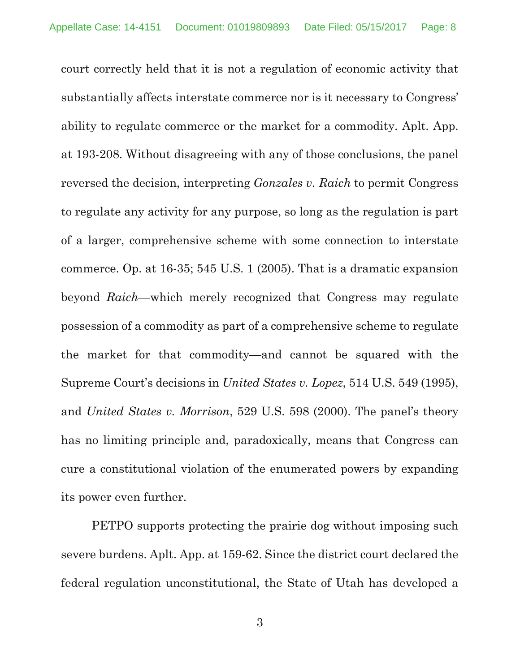court correctly held that it is not a regulation of economic activity that substantially affects interstate commerce nor is it necessary to Congress' ability to regulate commerce or the market for a commodity. Aplt. App. at 193-208. Without disagreeing with any of those conclusions, the panel reversed the decision, interpreting *Gonzales v. Raich* to permit Congress to regulate any activity for any purpose, so long as the regulation is part of a larger, comprehensive scheme with some connection to interstate commerce. Op. at 16-35; 545 U.S. 1 (2005). That is a dramatic expansion beyond *Raich*—which merely recognized that Congress may regulate possession of a commodity as part of a comprehensive scheme to regulate the market for that commodity—and cannot be squared with the Supreme Court's decisions in *United States v. Lopez*, 514 U.S. 549 (1995), and *United States v. Morrison*, 529 U.S. 598 (2000). The panel's theory has no limiting principle and, paradoxically, means that Congress can cure a constitutional violation of the enumerated powers by expanding its power even further.

PETPO supports protecting the prairie dog without imposing such severe burdens. Aplt. App. at 159-62. Since the district court declared the federal regulation unconstitutional, the State of Utah has developed a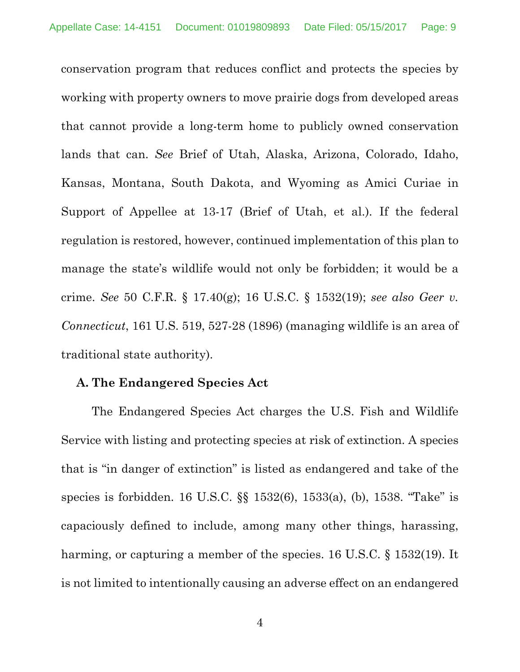conservation program that reduces conflict and protects the species by working with property owners to move prairie dogs from developed areas that cannot provide a long-term home to publicly owned conservation lands that can. *See* Brief of Utah, Alaska, Arizona, Colorado, Idaho, Kansas, Montana, South Dakota, and Wyoming as Amici Curiae in Support of Appellee at 13-17 (Brief of Utah, et al.). If the federal regulation is restored, however, continued implementation of this plan to manage the state's wildlife would not only be forbidden; it would be a crime. *See* 50 C.F.R. § 17.40(g); 16 U.S.C. § 1532(19); *see also Geer v. Connecticut*, 161 U.S. 519, 527-28 (1896) (managing wildlife is an area of traditional state authority).

### **A. The Endangered Species Act**

The Endangered Species Act charges the U.S. Fish and Wildlife Service with listing and protecting species at risk of extinction. A species that is "in danger of extinction" is listed as endangered and take of the species is forbidden. 16 U.S.C. §§ 1532(6), 1533(a), (b), 1538. "Take" is capaciously defined to include, among many other things, harassing, harming, or capturing a member of the species. 16 U.S.C. § 1532(19). It is not limited to intentionally causing an adverse effect on an endangered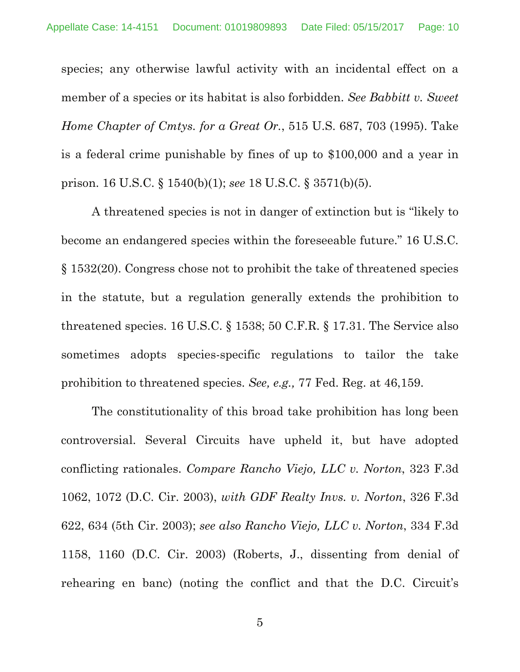species; any otherwise lawful activity with an incidental effect on a member of a species or its habitat is also forbidden. *See Babbitt v. Sweet Home Chapter of Cmtys. for a Great Or.*, 515 U.S. 687, 703 (1995). Take is a federal crime punishable by fines of up to \$100,000 and a year in prison. 16 U.S.C. § 1540(b)(1); *see* 18 U.S.C. § 3571(b)(5).

A threatened species is not in danger of extinction but is "likely to become an endangered species within the foreseeable future." 16 U.S.C. § 1532(20). Congress chose not to prohibit the take of threatened species in the statute, but a regulation generally extends the prohibition to threatened species. 16 U.S.C. § 1538; 50 C.F.R. § 17.31. The Service also sometimes adopts species-specific regulations to tailor the take prohibition to threatened species. *See, e.g.,* 77 Fed. Reg. at 46,159.

The constitutionality of this broad take prohibition has long been controversial. Several Circuits have upheld it, but have adopted conflicting rationales. *Compare Rancho Viejo, LLC v. Norton*, 323 F.3d 1062, 1072 (D.C. Cir. 2003), *with GDF Realty Invs. v. Norton*, 326 F.3d 622, 634 (5th Cir. 2003); *see also Rancho Viejo, LLC v. Norton*, 334 F.3d 1158, 1160 (D.C. Cir. 2003) (Roberts, J., dissenting from denial of rehearing en banc) (noting the conflict and that the D.C. Circuit's

5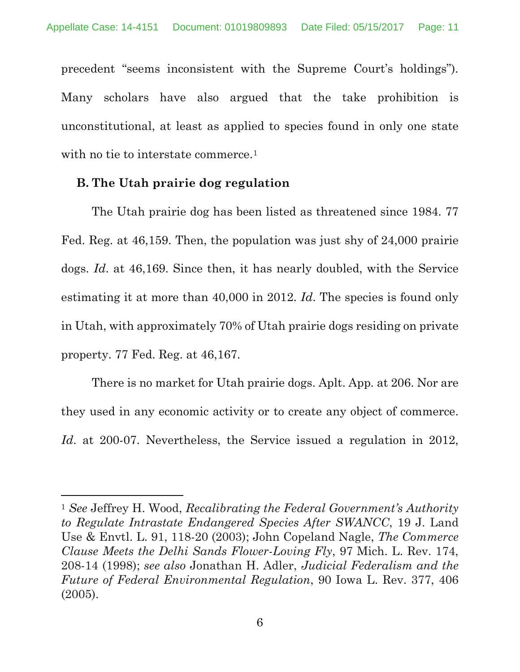precedent "seems inconsistent with the Supreme Court's holdings"). Many scholars have also argued that the take prohibition is unconstitutional, at least as applied to species found in only one state with no tie to interstate commerce.<sup>1</sup>

### **B. The Utah prairie dog regulation**

The Utah prairie dog has been listed as threatened since 1984. 77 Fed. Reg. at 46,159. Then, the population was just shy of 24,000 prairie dogs. *Id*. at 46,169. Since then, it has nearly doubled, with the Service estimating it at more than 40,000 in 2012. *Id*. The species is found only in Utah, with approximately 70% of Utah prairie dogs residing on private property. 77 Fed. Reg. at 46,167.

There is no market for Utah prairie dogs. Aplt. App. at 206. Nor are they used in any economic activity or to create any object of commerce. *Id*. at 200-07. Nevertheless, the Service issued a regulation in 2012,

<sup>1</sup> *See* Jeffrey H. Wood, *Recalibrating the Federal Government's Authority to Regulate Intrastate Endangered Species After SWANCC*, 19 J. Land Use & Envtl. L. 91, 118-20 (2003); John Copeland Nagle, *The Commerce Clause Meets the Delhi Sands Flower-Loving Fly*, 97 Mich. L. Rev. 174, 208-14 (1998); *see also* Jonathan H. Adler, *Judicial Federalism and the Future of Federal Environmental Regulation*, 90 Iowa L. Rev. 377, 406 (2005).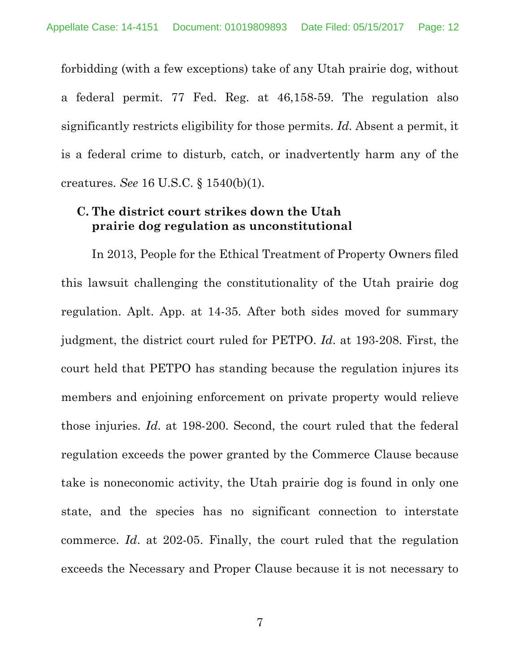forbidding (with a few exceptions) take of any Utah prairie dog, without a federal permit. 77 Fed. Reg. at 46,158-59. The regulation also significantly restricts eligibility for those permits. *Id*. Absent a permit, it is a federal crime to disturb, catch, or inadvertently harm any of the creatures. *See* 16 U.S.C. § 1540(b)(1).

## **C. The district court strikes down the Utah prairie dog regulation as unconstitutional**

In 2013, People for the Ethical Treatment of Property Owners filed this lawsuit challenging the constitutionality of the Utah prairie dog regulation. Aplt. App. at 14-35. After both sides moved for summary judgment, the district court ruled for PETPO. *Id*. at 193-208. First, the court held that PETPO has standing because the regulation injures its members and enjoining enforcement on private property would relieve those injuries. *Id*. at 198-200. Second, the court ruled that the federal regulation exceeds the power granted by the Commerce Clause because take is noneconomic activity, the Utah prairie dog is found in only one state, and the species has no significant connection to interstate commerce. *Id*. at 202-05. Finally, the court ruled that the regulation exceeds the Necessary and Proper Clause because it is not necessary to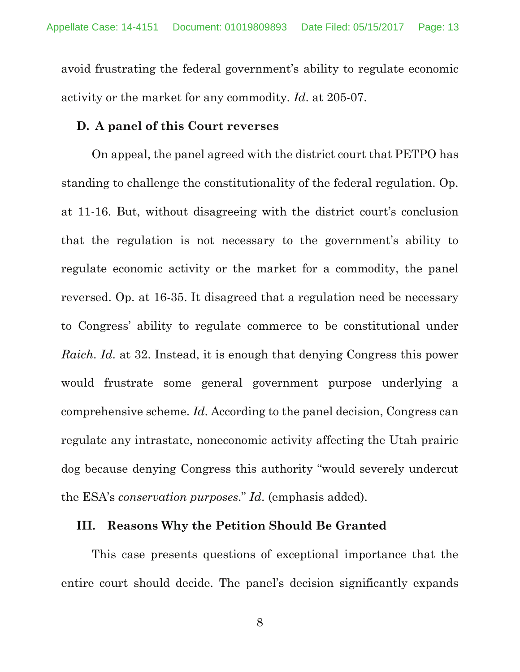avoid frustrating the federal government's ability to regulate economic activity or the market for any commodity. *Id*. at 205-07.

### **D. A panel of this Court reverses**

On appeal, the panel agreed with the district court that PETPO has standing to challenge the constitutionality of the federal regulation. Op. at 11-16. But, without disagreeing with the district court's conclusion that the regulation is not necessary to the government's ability to regulate economic activity or the market for a commodity, the panel reversed. Op. at 16-35. It disagreed that a regulation need be necessary to Congress' ability to regulate commerce to be constitutional under *Raich*. *Id*. at 32. Instead, it is enough that denying Congress this power would frustrate some general government purpose underlying a comprehensive scheme. *Id*. According to the panel decision, Congress can regulate any intrastate, noneconomic activity affecting the Utah prairie dog because denying Congress this authority "would severely undercut the ESA's *conservation purposes*." *Id*. (emphasis added).

#### **III. Reasons Why the Petition Should Be Granted**

This case presents questions of exceptional importance that the entire court should decide. The panel's decision significantly expands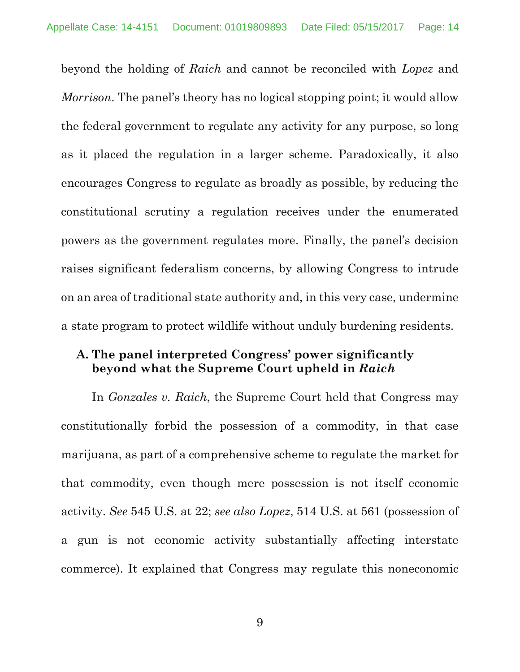beyond the holding of *Raich* and cannot be reconciled with *Lopez* and *Morrison*. The panel's theory has no logical stopping point; it would allow the federal government to regulate any activity for any purpose, so long as it placed the regulation in a larger scheme. Paradoxically, it also encourages Congress to regulate as broadly as possible, by reducing the constitutional scrutiny a regulation receives under the enumerated powers as the government regulates more. Finally, the panel's decision raises significant federalism concerns, by allowing Congress to intrude on an area of traditional state authority and, in this very case, undermine a state program to protect wildlife without unduly burdening residents.

## **A. The panel interpreted Congress' power significantly beyond what the Supreme Court upheld in** *Raich*

In *Gonzales v. Raich*, the Supreme Court held that Congress may constitutionally forbid the possession of a commodity, in that case marijuana, as part of a comprehensive scheme to regulate the market for that commodity, even though mere possession is not itself economic activity. *See* 545 U.S. at 22; *see also Lopez*, 514 U.S. at 561 (possession of a gun is not economic activity substantially affecting interstate commerce). It explained that Congress may regulate this noneconomic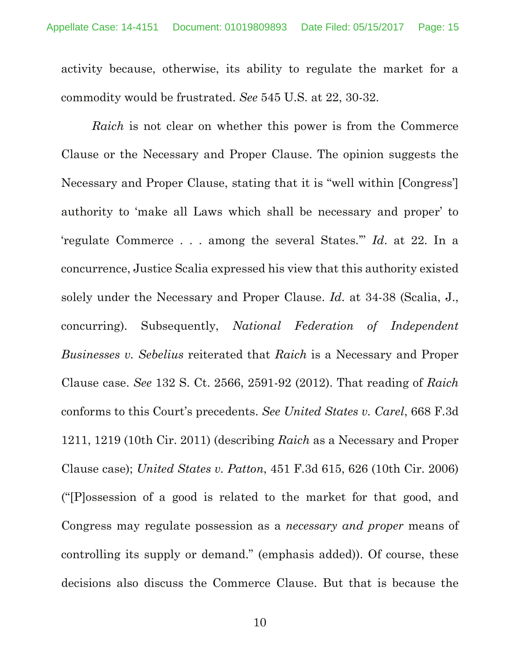activity because, otherwise, its ability to regulate the market for a commodity would be frustrated. *See* 545 U.S. at 22, 30-32.

*Raich* is not clear on whether this power is from the Commerce Clause or the Necessary and Proper Clause. The opinion suggests the Necessary and Proper Clause, stating that it is "well within [Congress'] authority to 'make all Laws which shall be necessary and proper' to 'regulate Commerce . . . among the several States.'" *Id*. at 22. In a concurrence, Justice Scalia expressed his view that this authority existed solely under the Necessary and Proper Clause. *Id*. at 34-38 (Scalia, J., concurring). Subsequently, *National Federation of Independent Businesses v. Sebelius* reiterated that *Raich* is a Necessary and Proper Clause case. *See* 132 S. Ct. 2566, 2591-92 (2012). That reading of *Raich* conforms to this Court's precedents. *See United States v. Carel*, 668 F.3d 1211, 1219 (10th Cir. 2011) (describing *Raich* as a Necessary and Proper Clause case); *United States v. Patton*, 451 F.3d 615, 626 (10th Cir. 2006) ("[P]ossession of a good is related to the market for that good, and Congress may regulate possession as a *necessary and proper* means of controlling its supply or demand." (emphasis added)). Of course, these decisions also discuss the Commerce Clause. But that is because the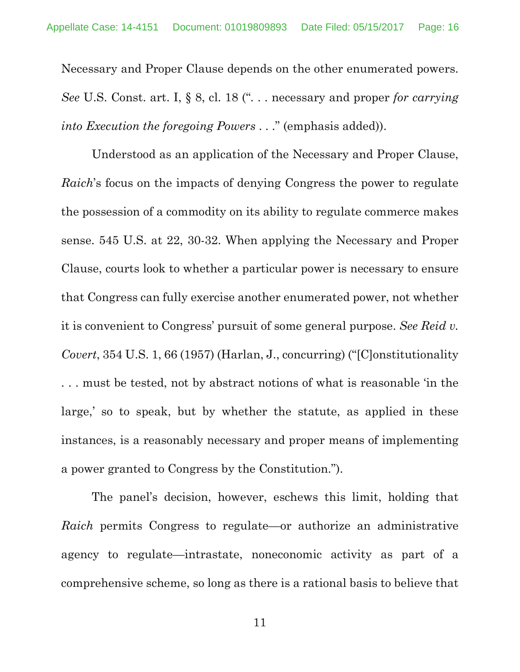Necessary and Proper Clause depends on the other enumerated powers. *See* U.S. Const. art. I, § 8, cl. 18 (". . . necessary and proper *for carrying into Execution the foregoing Powers* . . ." (emphasis added)).

Understood as an application of the Necessary and Proper Clause, *Raich*'s focus on the impacts of denying Congress the power to regulate the possession of a commodity on its ability to regulate commerce makes sense. 545 U.S. at 22, 30-32. When applying the Necessary and Proper Clause, courts look to whether a particular power is necessary to ensure that Congress can fully exercise another enumerated power, not whether it is convenient to Congress' pursuit of some general purpose. *See Reid v. Covert*, 354 U.S. 1, 66 (1957) (Harlan, J., concurring) ("[C]onstitutionality . . . must be tested, not by abstract notions of what is reasonable 'in the large,' so to speak, but by whether the statute, as applied in these instances, is a reasonably necessary and proper means of implementing a power granted to Congress by the Constitution.").

The panel's decision, however, eschews this limit, holding that *Raich* permits Congress to regulate—or authorize an administrative agency to regulate—intrastate, noneconomic activity as part of a comprehensive scheme, so long as there is a rational basis to believe that

11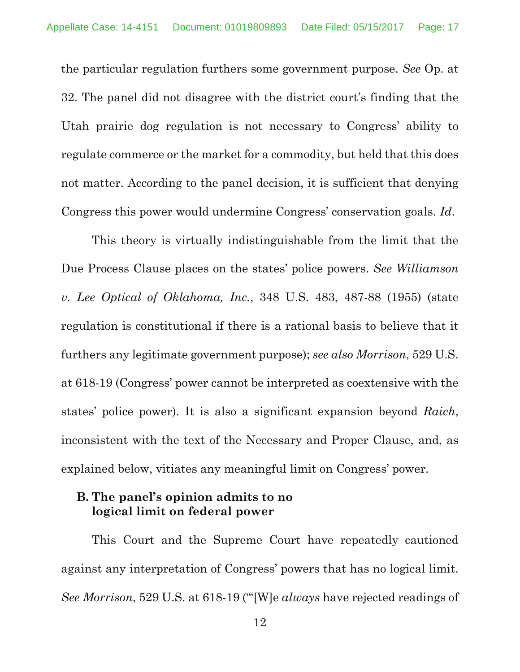the particular regulation furthers some government purpose. *See* Op. at 32. The panel did not disagree with the district court's finding that the Utah prairie dog regulation is not necessary to Congress' ability to regulate commerce or the market for a commodity, but held that this does not matter. According to the panel decision, it is sufficient that denying Congress this power would undermine Congress' conservation goals. *Id*.

This theory is virtually indistinguishable from the limit that the Due Process Clause places on the states' police powers. *See Williamson v. Lee Optical of Oklahoma, Inc.*, 348 U.S. 483, 487-88 (1955) (state regulation is constitutional if there is a rational basis to believe that it furthers any legitimate government purpose); *see also Morrison*, 529 U.S. at 618-19 (Congress' power cannot be interpreted as coextensive with the states' police power). It is also a significant expansion beyond *Raich*, inconsistent with the text of the Necessary and Proper Clause, and, as explained below, vitiates any meaningful limit on Congress' power.

### **B. The panel's opinion admits to no logical limit on federal power**

This Court and the Supreme Court have repeatedly cautioned against any interpretation of Congress' powers that has no logical limit. *See Morrison*, 529 U.S. at 618-19 ("'[W]e *always* have rejected readings of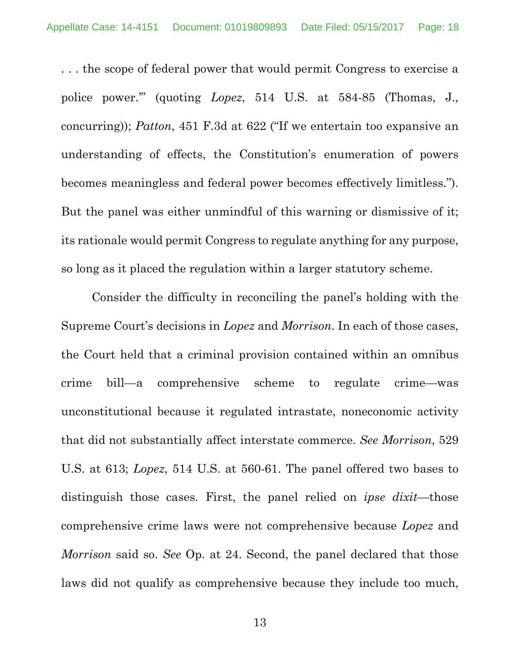. . . the scope of federal power that would permit Congress to exercise a police power.'" (quoting *Lopez*, 514 U.S. at 584-85 (Thomas, J., concurring)); *Patton*, 451 F.3d at 622 ("If we entertain too expansive an understanding of effects, the Constitution's enumeration of powers becomes meaningless and federal power becomes effectively limitless."). But the panel was either unmindful of this warning or dismissive of it; its rationale would permit Congress to regulate anything for any purpose, so long as it placed the regulation within a larger statutory scheme.

Consider the difficulty in reconciling the panel's holding with the Supreme Court's decisions in *Lopez* and *Morrison*. In each of those cases, the Court held that a criminal provision contained within an omnibus crime bill—a comprehensive scheme to regulate crime—was unconstitutional because it regulated intrastate, noneconomic activity that did not substantially affect interstate commerce. *See Morrison*, 529 U.S. at 613; *Lopez*, 514 U.S. at 560-61. The panel offered two bases to distinguish those cases. First, the panel relied on *ipse dixit*—those comprehensive crime laws were not comprehensive because *Lopez* and *Morrison* said so. *See* Op. at 24. Second, the panel declared that those laws did not qualify as comprehensive because they include too much,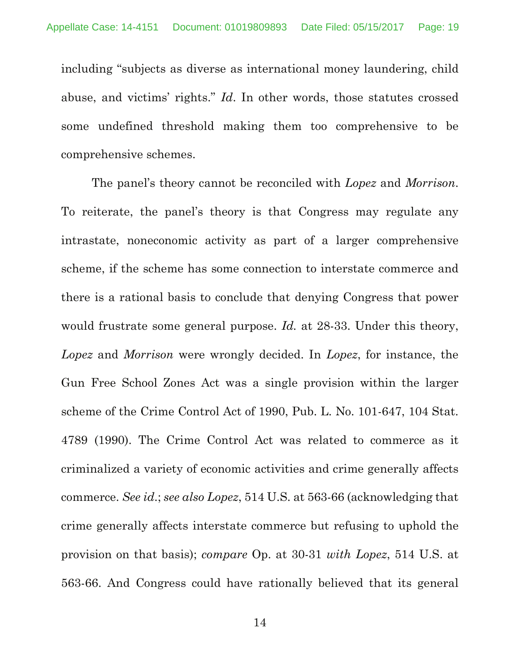including "subjects as diverse as international money laundering, child abuse, and victims' rights." *Id*. In other words, those statutes crossed some undefined threshold making them too comprehensive to be comprehensive schemes.

The panel's theory cannot be reconciled with *Lopez* and *Morrison*. To reiterate, the panel's theory is that Congress may regulate any intrastate, noneconomic activity as part of a larger comprehensive scheme, if the scheme has some connection to interstate commerce and there is a rational basis to conclude that denying Congress that power would frustrate some general purpose. *Id.* at 28-33. Under this theory, *Lopez* and *Morrison* were wrongly decided. In *Lopez*, for instance, the Gun Free School Zones Act was a single provision within the larger scheme of the Crime Control Act of 1990, Pub. L. No. 101-647, 104 Stat. 4789 (1990). The Crime Control Act was related to commerce as it criminalized a variety of economic activities and crime generally affects commerce. *See id*.; *see also Lopez*, 514 U.S. at 563-66 (acknowledging that crime generally affects interstate commerce but refusing to uphold the provision on that basis); *compare* Op. at 30-31 *with Lopez*, 514 U.S. at 563-66. And Congress could have rationally believed that its general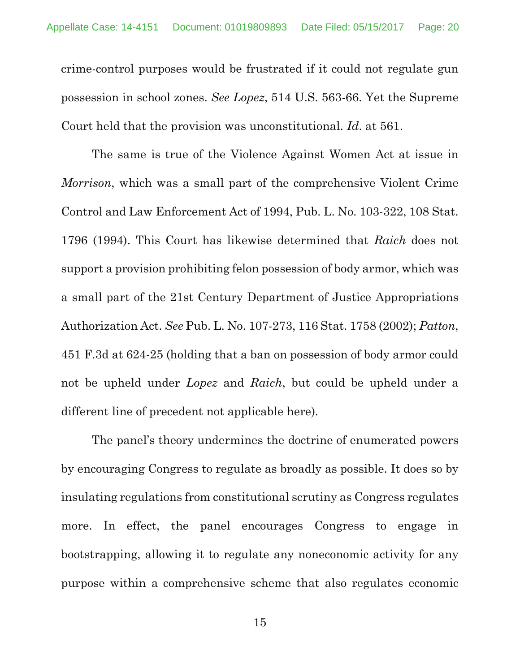crime-control purposes would be frustrated if it could not regulate gun possession in school zones. *See Lopez*, 514 U.S. 563-66. Yet the Supreme Court held that the provision was unconstitutional. *Id*. at 561.

The same is true of the Violence Against Women Act at issue in *Morrison*, which was a small part of the comprehensive Violent Crime Control and Law Enforcement Act of 1994, Pub. L. No. 103-322, 108 Stat. 1796 (1994). This Court has likewise determined that *Raich* does not support a provision prohibiting felon possession of body armor, which was a small part of the 21st Century Department of Justice Appropriations Authorization Act. *See* Pub. L. No. 107-273, 116 Stat. 1758 (2002); *Patton*, 451 F.3d at 624-25 (holding that a ban on possession of body armor could not be upheld under *Lopez* and *Raich*, but could be upheld under a different line of precedent not applicable here).

The panel's theory undermines the doctrine of enumerated powers by encouraging Congress to regulate as broadly as possible. It does so by insulating regulations from constitutional scrutiny as Congress regulates more. In effect, the panel encourages Congress to engage in bootstrapping, allowing it to regulate any noneconomic activity for any purpose within a comprehensive scheme that also regulates economic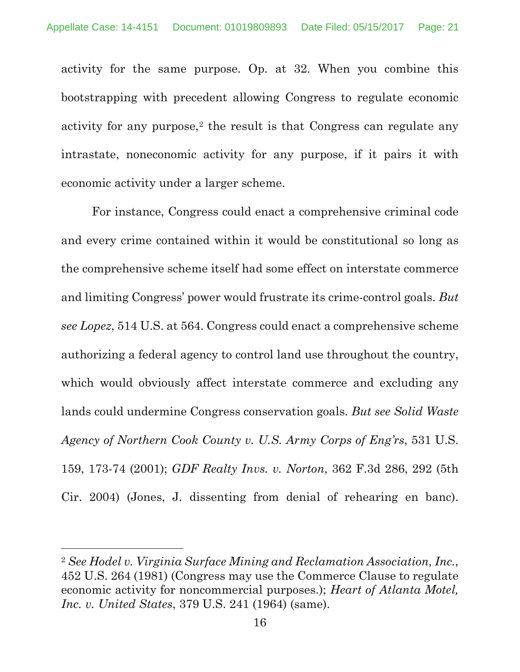activity for the same purpose. Op. at 32. When you combine this bootstrapping with precedent allowing Congress to regulate economic activity for any purpose,<sup>2</sup> the result is that Congress can regulate any intrastate, noneconomic activity for any purpose, if it pairs it with economic activity under a larger scheme.

For instance, Congress could enact a comprehensive criminal code and every crime contained within it would be constitutional so long as the comprehensive scheme itself had some effect on interstate commerce and limiting Congress' power would frustrate its crime-control goals. *But see Lopez*, 514 U.S. at 564. Congress could enact a comprehensive scheme authorizing a federal agency to control land use throughout the country, which would obviously affect interstate commerce and excluding any lands could undermine Congress conservation goals. *But see Solid Waste Agency of Northern Cook County v. U.S. Army Corps of Eng'rs*, 531 U.S. 159, 173-74 (2001); *GDF Realty Invs. v. Norton*, 362 F.3d 286, 292 (5th Cir. 2004) (Jones, J. dissenting from denial of rehearing en banc).

<sup>2</sup> *See Hodel v. Virginia Surface Mining and Reclamation Association, Inc.*, 452 U.S. 264 (1981) (Congress may use the Commerce Clause to regulate economic activity for noncommercial purposes.); *Heart of Atlanta Motel, Inc. v. United States*, 379 U.S. 241 (1964) (same).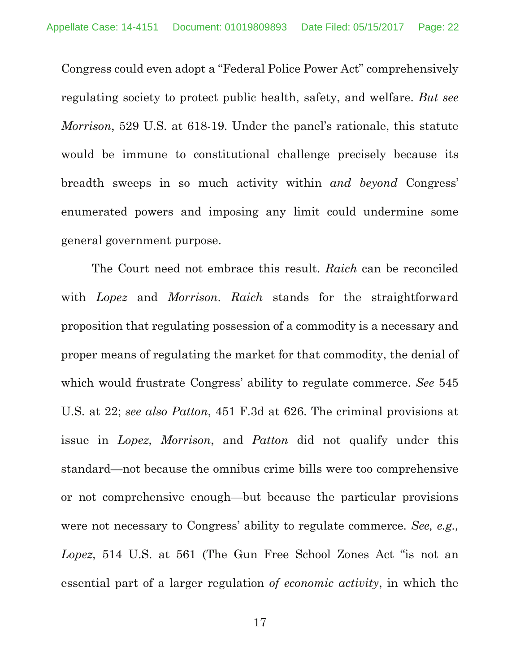Congress could even adopt a "Federal Police Power Act" comprehensively regulating society to protect public health, safety, and welfare. *But see Morrison*, 529 U.S. at 618-19. Under the panel's rationale, this statute would be immune to constitutional challenge precisely because its breadth sweeps in so much activity within *and beyond* Congress' enumerated powers and imposing any limit could undermine some general government purpose.

The Court need not embrace this result. *Raich* can be reconciled with *Lopez* and *Morrison*. *Raich* stands for the straightforward proposition that regulating possession of a commodity is a necessary and proper means of regulating the market for that commodity, the denial of which would frustrate Congress' ability to regulate commerce. *See* 545 U.S. at 22; *see also Patton*, 451 F.3d at 626. The criminal provisions at issue in *Lopez*, *Morrison*, and *Patton* did not qualify under this standard—not because the omnibus crime bills were too comprehensive or not comprehensive enough—but because the particular provisions were not necessary to Congress' ability to regulate commerce. *See, e.g., Lopez*, 514 U.S. at 561 (The Gun Free School Zones Act "is not an essential part of a larger regulation *of economic activity*, in which the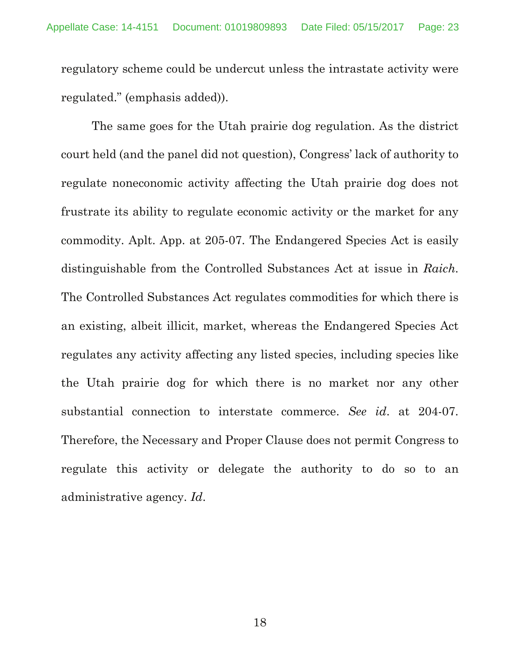regulatory scheme could be undercut unless the intrastate activity were regulated." (emphasis added)).

The same goes for the Utah prairie dog regulation. As the district court held (and the panel did not question), Congress' lack of authority to regulate noneconomic activity affecting the Utah prairie dog does not frustrate its ability to regulate economic activity or the market for any commodity. Aplt. App. at 205-07. The Endangered Species Act is easily distinguishable from the Controlled Substances Act at issue in *Raich*. The Controlled Substances Act regulates commodities for which there is an existing, albeit illicit, market, whereas the Endangered Species Act regulates any activity affecting any listed species, including species like the Utah prairie dog for which there is no market nor any other substantial connection to interstate commerce. *See id*. at 204-07. Therefore, the Necessary and Proper Clause does not permit Congress to regulate this activity or delegate the authority to do so to an administrative agency. *Id*.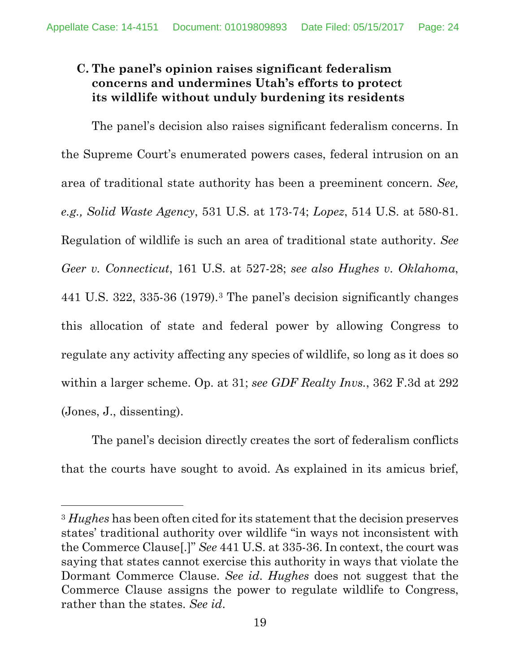# **C. The panel's opinion raises significant federalism concerns and undermines Utah's efforts to protect its wildlife without unduly burdening its residents**

The panel's decision also raises significant federalism concerns. In the Supreme Court's enumerated powers cases, federal intrusion on an area of traditional state authority has been a preeminent concern. *See, e.g., Solid Waste Agency*, 531 U.S. at 173-74; *Lopez*, 514 U.S. at 580-81. Regulation of wildlife is such an area of traditional state authority. *See Geer v. Connecticut*, 161 U.S. at 527-28; *see also Hughes v. Oklahoma*, 441 U.S. 322, 335-36 (1979).3 The panel's decision significantly changes this allocation of state and federal power by allowing Congress to regulate any activity affecting any species of wildlife, so long as it does so within a larger scheme. Op. at 31; *see GDF Realty Invs.*, 362 F.3d at 292 (Jones, J., dissenting).

The panel's decision directly creates the sort of federalism conflicts that the courts have sought to avoid. As explained in its amicus brief,

<sup>3</sup> *Hughes* has been often cited for its statement that the decision preserves states' traditional authority over wildlife "in ways not inconsistent with the Commerce Clause[.]" *See* 441 U.S. at 335-36. In context, the court was saying that states cannot exercise this authority in ways that violate the Dormant Commerce Clause. *See id*. *Hughes* does not suggest that the Commerce Clause assigns the power to regulate wildlife to Congress, rather than the states. *See id*.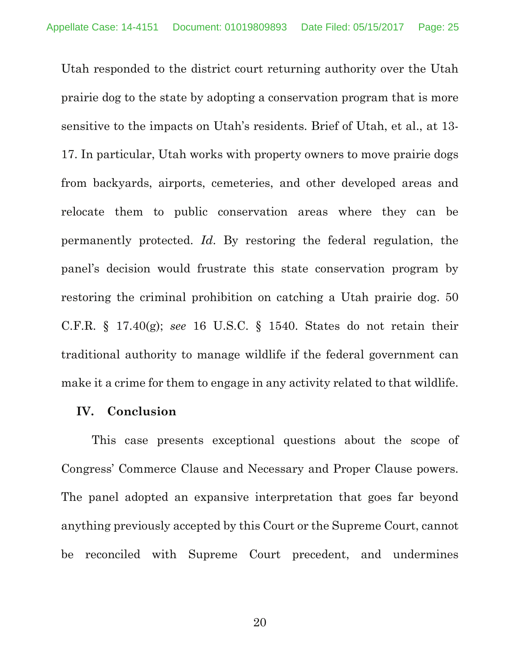Utah responded to the district court returning authority over the Utah prairie dog to the state by adopting a conservation program that is more sensitive to the impacts on Utah's residents. Brief of Utah, et al., at 13- 17. In particular, Utah works with property owners to move prairie dogs from backyards, airports, cemeteries, and other developed areas and relocate them to public conservation areas where they can be permanently protected. *Id*. By restoring the federal regulation, the panel's decision would frustrate this state conservation program by restoring the criminal prohibition on catching a Utah prairie dog. 50 C.F.R. § 17.40(g); *see* 16 U.S.C. § 1540. States do not retain their traditional authority to manage wildlife if the federal government can make it a crime for them to engage in any activity related to that wildlife.

### **IV. Conclusion**

 This case presents exceptional questions about the scope of Congress' Commerce Clause and Necessary and Proper Clause powers. The panel adopted an expansive interpretation that goes far beyond anything previously accepted by this Court or the Supreme Court, cannot be reconciled with Supreme Court precedent, and undermines